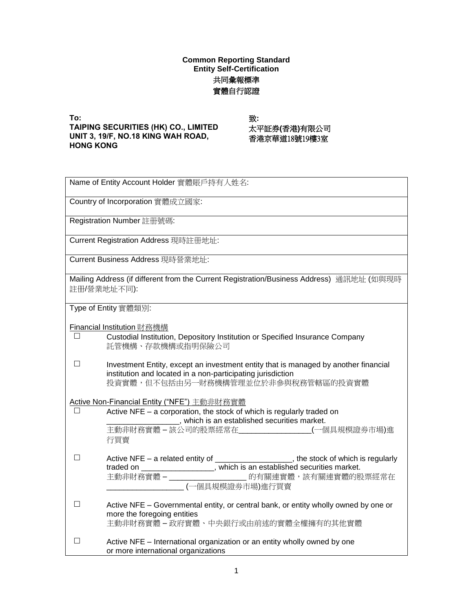## **Common Reporting Standard Entity Self-Certification** 共同彙報標準 實體自行認證

**To: TAIPING SECURITIES (HK) CO., LIMITED UNIT 3, 19/F, NO.18 KING WAH ROAD, HONG KONG** 

致: 太平証券**(**香港**)**有限公司 香港京華道18號19樓3室

| Name of Entity Account Holder 實體賬戶持有人姓名:                                                                                                                                                                                                                   |  |
|------------------------------------------------------------------------------------------------------------------------------------------------------------------------------------------------------------------------------------------------------------|--|
| Country of Incorporation 實體成立國家:                                                                                                                                                                                                                           |  |
| Registration Number 註冊號碼:                                                                                                                                                                                                                                  |  |
| Current Registration Address 現時註冊地址:                                                                                                                                                                                                                       |  |
| Current Business Address 現時營業地址:                                                                                                                                                                                                                           |  |
| Mailing Address (if different from the Current Registration/Business Address) 通訊地址 (如與現時<br>註冊/營業地址不同):                                                                                                                                                    |  |
| Type of Entity 實體類別:                                                                                                                                                                                                                                       |  |
| Financial Institution 財務機構<br>$\Box$<br>Custodial Institution, Depository Institution or Specified Insurance Company<br>託管機構、存款機構或指明保險公司                                                                                                                   |  |
| П<br>Investment Entity, except an investment entity that is managed by another financial<br>institution and located in a non-participating jurisdiction<br>投資實體,但不包括由另一財務機構管理並位於非參與稅務管轄區的投資實體                                                              |  |
| Active Non-Financial Entity ("NFE") 主動非財務實體<br>Active NFE - a corporation, the stock of which is regularly traded on<br>$\Box$<br>___________________, which is an established securities market.<br>主動非財務實體-該公司的股票經常在________________(一個具規模證券市場)進<br>行買賣  |  |
| Active NFE - a related entity of ____________________, the stock of which is regularly<br>П<br>traded on _________________, which is an established securities market.<br>主動非財務實體-_____________________ 的有關連實體,該有關連實體的股票經常在<br>____________(一個具規模證券市場)進行買賣 |  |
| П<br>Active NFE - Governmental entity, or central bank, or entity wholly owned by one or<br>more the foregoing entities<br>主動非財務實體-政府實體、中央銀行或由前述的實體全權擁有的其他實體                                                                                               |  |
| П<br>Active NFE - International organization or an entity wholly owned by one<br>or more international organizations                                                                                                                                       |  |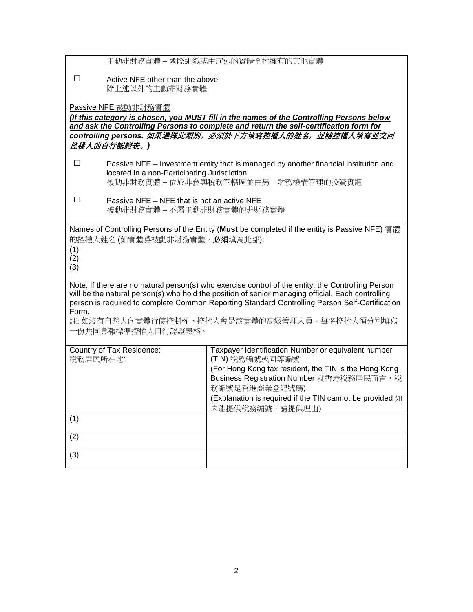|                                                                                    | 主動非財務實體 – 國際組織或由前述的實體全權擁有的其他實體                                                                                                                                                                                                                                                                                                                            |
|------------------------------------------------------------------------------------|-----------------------------------------------------------------------------------------------------------------------------------------------------------------------------------------------------------------------------------------------------------------------------------------------------------------------------------------------------------|
| $\Box$<br>Active NFE other than the above<br>除上述以外的主動非財務實體                         |                                                                                                                                                                                                                                                                                                                                                           |
| Passive NFE 被動非財務實體                                                                | (If this category is chosen, you MUST fill in the names of the Controlling Persons below                                                                                                                                                                                                                                                                  |
|                                                                                    | and ask the Controlling Persons to complete and return the self-certification form for<br><u>controlling persons. 如果選擇此類別,必須於下方填寫控權人的姓名,並請控權人填寫並交回</u>                                                                                                                                                                                                    |
| 控權人的自行認證表。)                                                                        |                                                                                                                                                                                                                                                                                                                                                           |
| $\Box$<br>located in a non-Participating Jurisdiction                              | Passive NFE - Investment entity that is managed by another financial institution and<br>被動非財務實體-位於非參與稅務管轄區並由另一財務機構管理的投資實體                                                                                                                                                                                                                                 |
| $\Box$<br>Passive NFE - NFE that is not an active NFE<br>被動非財務實體 - 不屬主動非財務實體的非財務實體 |                                                                                                                                                                                                                                                                                                                                                           |
| 的控權人姓名(如實體爲被動非財務實體, 必須填寫此部):<br>(1)<br>(2)<br>(3)                                  | Names of Controlling Persons of the Entity (Must be completed if the entity is Passive NFE) 實體                                                                                                                                                                                                                                                            |
| Form.<br>一份共同彙報標準控權人自行認證表格。                                                        | Note: If there are no natural person(s) who exercise control of the entity, the Controlling Person<br>will be the natural person(s) who hold the position of senior managing official. Each controlling<br>person is required to complete Common Reporting Standard Controlling Person Self-Certification<br>註: 如沒有自然人向實體行使控制權,控權人會是該實體的高級管理人員。每名控權人須分別填寫 |
| Country of Tax Residence:<br>稅務居民所在地:                                              | Taxpayer Identification Number or equivalent number<br>(TIN) 稅務編號或同等編號:<br>(For Hong Kong tax resident, the TIN is the Hong Kong<br>Business Registration Number 就香港稅務居民而言, 稅<br>務編號是香港商業登記號碼)<br>(Explanation is required if the TIN cannot be provided 如<br>未能提供稅務編號,請提供理由)                                                                             |
| $\overline{(1)}$                                                                   |                                                                                                                                                                                                                                                                                                                                                           |
| (2)                                                                                |                                                                                                                                                                                                                                                                                                                                                           |
| (3)                                                                                |                                                                                                                                                                                                                                                                                                                                                           |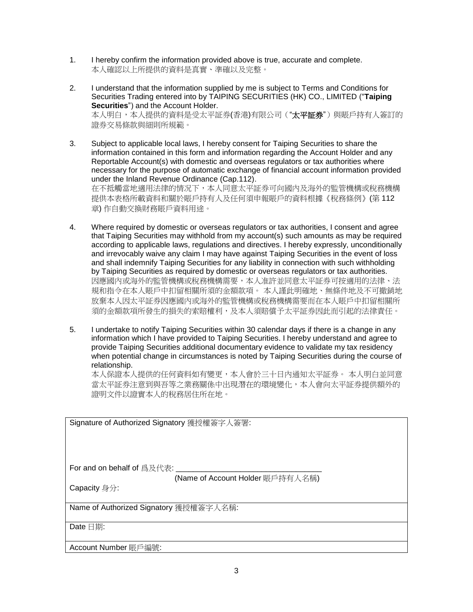- 1. I hereby confirm the information provided above is true, accurate and complete. 本人確認以上所提供的資料是真實、準確以及完整。
- 2. I understand that the information supplied by me is subject to Terms and Conditions for Securities Trading entered into by TAIPING SECURITIES (HK) CO., LIMITED ("**Taiping Securities**") and the Account Holder. 本人明白,本人提供的資料是受太平証券(香港)有限公司("太平証券")與賬戶持有人簽訂的 證券交易條款與細則所規範。
- 3. Subject to applicable local laws, I hereby consent for Taiping Securities to share the information contained in this form and information regarding the Account Holder and any Reportable Account(s) with domestic and overseas regulators or tax authorities where necessary for the purpose of automatic exchange of financial account information provided under the Inland Revenue Ordinance (Cap.112). 在不抵觸當地適用法律的情况下,本人同意太平証券可向國內及海外的監管機構或稅務機構 提供本表格所載資料和關於賬戶持有人及任何須申報賬戶的資料根據《稅務條例》(第 112 章) 作自動交換財務賬戶資料用途。
- 4. Where required by domestic or overseas regulators or tax authorities, I consent and agree that Taiping Securities may withhold from my account(s) such amounts as may be required according to applicable laws, regulations and directives. I hereby expressly, unconditionally and irrevocably waive any claim I may have against Taiping Securities in the event of loss and shall indemnify Taiping Securities for any liability in connection with such withholding by Taiping Securities as required by domestic or overseas regulators or tax authorities. 因應國內或海外的監管機構或稅務機構需要,本人准許並同意太平証券可按適用的法律、法 規和指令在本人賬戶中扣留相關所須的金額款項。 本人謹此明確地、無條件地及不可撤銷地 放棄本人因太平証券因應國內或海外的監管機構或稅務機構需要而在本人賬戶中扣留相關所 須的金額款項所發生的損失的索賠權利,及本人須賠償予太平証券因此而引起的法律責任。
- 5. I undertake to notify Taiping Securities within 30 calendar days if there is a change in any information which I have provided to Taiping Securities. I hereby understand and agree to provide Taiping Securities additional documentary evidence to validate my tax residency when potential change in circumstances is noted by Taiping Securities during the course of relationship.

本人保證本人提供的任何資料如有變更,本人會於三十日內通知太平証券。 本人明白並同意 當太平証券注意到與吾等之業務關係中出現潛在的環境變化,本人會向太平証券提供額外的 證明文件以證實本人的稅務居住所在地。

Signature of Authorized Signatory 獲授權簽字人簽署: For and on behalf of 爲及代表: (Name of Account Holder 賬戶持有人名稱) Capacity 身分: Name of Authorized Signatory 獲授權簽字人名稱: Date 日期: Account Number 賬戶編號: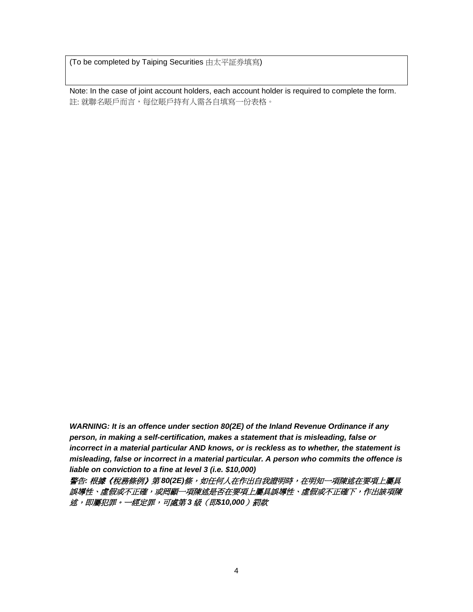(To be completed by Taiping Securities 由太平証券填寫)

Note: In the case of joint account holders, each account holder is required to complete the form. 註: 就聯名賬戶而言, 每位賬戶持有人需各自填寫一份表格。

*WARNING: It is an offence under section 80(2E) of the Inland Revenue Ordinance if any person, in making a self-certification, makes a statement that is misleading, false or incorrect in a material particular AND knows, or is reckless as to whether, the statement is misleading, false or incorrect in a material particular. A person who commits the offence is liable on conviction to a fine at level 3 (i.e. \$10,000)*

警告*:* 根據《稅務條例》第 *80(2E)*條,如任何人在作出自我證明時,在明知一項陳述在要項上屬具 誤導性、虛假或不正確,或罔顧一項陳述是否在要項上屬具誤導性、虛假或不正確下,作出該項陳 述,即屬犯罪。一經定罪,可處第 *3* 級(即*\$10,000*)罰款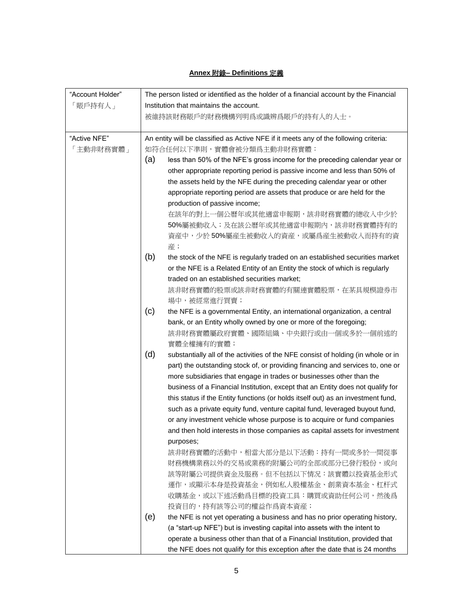## **Annex** 附錄**– Definitions** 定義

| "Account Holder" | The person listed or identified as the holder of a financial account by the Financial |                                                                                       |  |  |
|------------------|---------------------------------------------------------------------------------------|---------------------------------------------------------------------------------------|--|--|
| 「賬戶持有人」          | Institution that maintains the account.                                               |                                                                                       |  |  |
|                  |                                                                                       | 被維持該財務賬戶的財務機構列明爲或識辨爲賬戶的持有人的人士。                                                        |  |  |
| "Active NFE"     |                                                                                       | An entity will be classified as Active NFE if it meets any of the following criteria: |  |  |
| 「主動非財務實體」        | 如符合任何以下準則,實體會被分類爲主動非財務實體:                                                             |                                                                                       |  |  |
|                  | (a)                                                                                   | less than 50% of the NFE's gross income for the preceding calendar year or            |  |  |
|                  |                                                                                       | other appropriate reporting period is passive income and less than 50% of             |  |  |
|                  |                                                                                       | the assets held by the NFE during the preceding calendar year or other                |  |  |
|                  |                                                                                       | appropriate reporting period are assets that produce or are held for the              |  |  |
|                  |                                                                                       | production of passive income;                                                         |  |  |
|                  |                                                                                       | 在該年的對上一個公曆年或其他適當申報期,該非財務實體的總收入中少於                                                     |  |  |
|                  |                                                                                       | 50%屬被動收入;及在該公曆年或其他適當申報期內,該非財務實體持有的                                                    |  |  |
|                  |                                                                                       | 資産中,少於50%屬産生被動收入的資産,或屬爲産生被動收入而持有的資                                                    |  |  |
|                  |                                                                                       | 産;                                                                                    |  |  |
|                  | (b)                                                                                   | the stock of the NFE is regularly traded on an established securities market          |  |  |
|                  |                                                                                       | or the NFE is a Related Entity of an Entity the stock of which is regularly           |  |  |
|                  |                                                                                       | traded on an established securities market;                                           |  |  |
|                  |                                                                                       | 該非財務實體的股票或該非財務實體的有關連實體股票,在某具規模證券市                                                     |  |  |
|                  |                                                                                       | 場中,被經常進行買賣;                                                                           |  |  |
|                  | (c)                                                                                   | the NFE is a governmental Entity, an international organization, a central            |  |  |
|                  |                                                                                       | bank, or an Entity wholly owned by one or more of the foregoing;                      |  |  |
|                  |                                                                                       | 該非財務實體屬政府實體、國際組織、中央銀行或由一個或多於一個前述的<br>實體全權擁有的實體;                                       |  |  |
|                  | (d)                                                                                   | substantially all of the activities of the NFE consist of holding (in whole or in     |  |  |
|                  |                                                                                       | part) the outstanding stock of, or providing financing and services to, one or        |  |  |
|                  |                                                                                       | more subsidiaries that engage in trades or businesses other than the                  |  |  |
|                  |                                                                                       | business of a Financial Institution, except that an Entity does not qualify for       |  |  |
|                  |                                                                                       | this status if the Entity functions (or holds itself out) as an investment fund,      |  |  |
|                  |                                                                                       | such as a private equity fund, venture capital fund, leveraged buyout fund,           |  |  |
|                  |                                                                                       | or any investment vehicle whose purpose is to acquire or fund companies               |  |  |
|                  |                                                                                       | and then hold interests in those companies as capital assets for investment           |  |  |
|                  |                                                                                       | purposes;                                                                             |  |  |
|                  |                                                                                       | 該非財務實體的活動中,相當大部分是以下活動:持有一間或多於一間從事                                                     |  |  |
|                  |                                                                                       | 財務機構業務以外的交易或業務的附屬公司的全部或部分已發行股份,或向                                                     |  |  |
|                  |                                                                                       | 該等附屬公司提供資金及服務。但不包括以下情况:該實體以投資基金形式                                                     |  |  |
|                  |                                                                                       | 運作,或顯示本身是投資基金,例如私人股權基金、創業資本基金、杠杆式                                                     |  |  |
|                  |                                                                                       | 收購基金,或以下述活動爲目標的投資工具:購買或資助任何公司,然後爲                                                     |  |  |
|                  |                                                                                       | 投資目的,持有該等公司的權益作爲資本資産;                                                                 |  |  |
|                  | (e)                                                                                   | the NFE is not yet operating a business and has no prior operating history,           |  |  |
|                  |                                                                                       | (a "start-up NFE") but is investing capital into assets with the intent to            |  |  |
|                  |                                                                                       | operate a business other than that of a Financial Institution, provided that          |  |  |
|                  |                                                                                       | the NFE does not qualify for this exception after the date that is 24 months          |  |  |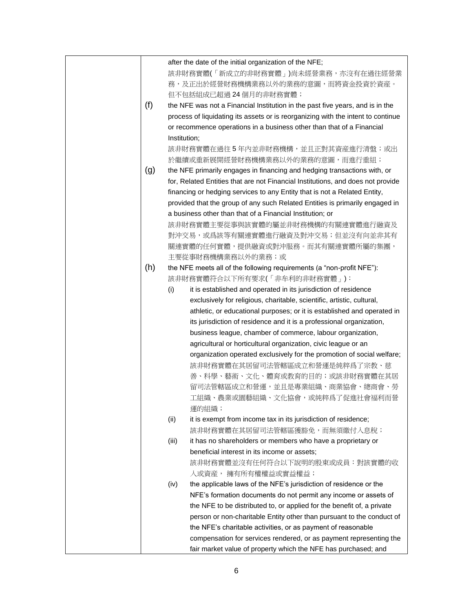|     |              | after the date of the initial organization of the NFE;                           |
|-----|--------------|----------------------------------------------------------------------------------|
|     |              | 該非財務實體(「新成立的非財務實體」)尚未經營業務,亦沒有在過往經營業                                              |
|     |              | 務,及正出於經營財務機構業務以外的業務的意圖,而將資金投資於資産。                                                |
|     |              | 但不包括組成已超過24個月的非財務實體;                                                             |
| (f) |              | the NFE was not a Financial Institution in the past five years, and is in the    |
|     |              | process of liquidating its assets or is reorganizing with the intent to continue |
|     |              | or recommence operations in a business other than that of a Financial            |
|     | Institution; |                                                                                  |
|     |              | 該非財務實體在過往5年內並非財務機構,並且正對其資産進行清盤;或出                                                |
|     |              | 於繼續或重新展開經營財務機構業務以外的業務的意圖,而進行重組;                                                  |
| (g) |              | the NFE primarily engages in financing and hedging transactions with, or         |
|     |              | for, Related Entities that are not Financial Institutions, and does not provide  |
|     |              | financing or hedging services to any Entity that is not a Related Entity,        |
|     |              | provided that the group of any such Related Entities is primarily engaged in     |
|     |              | a business other than that of a Financial Institution; or                        |
|     |              | 該非財務實體主要從事與該實體的屬並非財務機構的有關連實體進行融資及                                                |
|     |              | 對沖交易,或爲該等有關連實體進行融資及對沖交易;但並沒有向並非其有                                                |
|     |              |                                                                                  |
|     |              | 關連實體的任何實體,提供融資或對沖服務。而其有關連實體所屬的集團,                                                |
|     |              | 主要從事財務機構業務以外的業務;或                                                                |
| (h) |              | the NFE meets all of the following requirements (a "non-profit NFE"):            |
|     |              | 該非財務實體符合以下所有要求(「非牟利的非財務實體」):                                                     |
|     | (i)          | it is established and operated in its jurisdiction of residence                  |
|     |              | exclusively for religious, charitable, scientific, artistic, cultural,           |
|     |              | athletic, or educational purposes; or it is established and operated in          |
|     |              | its jurisdiction of residence and it is a professional organization,             |
|     |              | business league, chamber of commerce, labour organization,                       |
|     |              | agricultural or horticultural organization, civic league or an                   |
|     |              | organization operated exclusively for the promotion of social welfare;           |
|     |              | 該非財務實體在其居留司法管轄區成立和營運是純粹爲了宗教、慈                                                    |
|     |              | 善、科學、藝術、文化、體育或教育的目的;或該非財務實體在其居                                                   |
|     |              | 留司法管轄區成立和營運,並且是專業組織、商業協會、總商會、勞                                                   |
|     |              | 工組織、農業或園藝組織、文化協會,或純粹爲了促進社會福利而營                                                   |
|     |              | 運的組織;                                                                            |
|     | (ii)         | it is exempt from income tax in its jurisdiction of residence;                   |
|     |              | 該非財務實體在其居留司法管轄區獲豁免,而無須繳付入息稅;                                                     |
|     | (iii)        | it has no shareholders or members who have a proprietary or                      |
|     |              | beneficial interest in its income or assets;                                     |
|     |              | 該非財務實體並沒有任何符合以下說明的股東或成員:對該實體的收                                                   |
|     |              | 入或資産, 擁有所有權權益或實益權益;                                                              |
|     | (iv)         | the applicable laws of the NFE's jurisdiction of residence or the                |
|     |              | NFE's formation documents do not permit any income or assets of                  |
|     |              | the NFE to be distributed to, or applied for the benefit of, a private           |
|     |              | person or non-charitable Entity other than pursuant to the conduct of            |
|     |              | the NFE's charitable activities, or as payment of reasonable                     |
|     |              | compensation for services rendered, or as payment representing the               |
|     |              | fair market value of property which the NFE has purchased; and                   |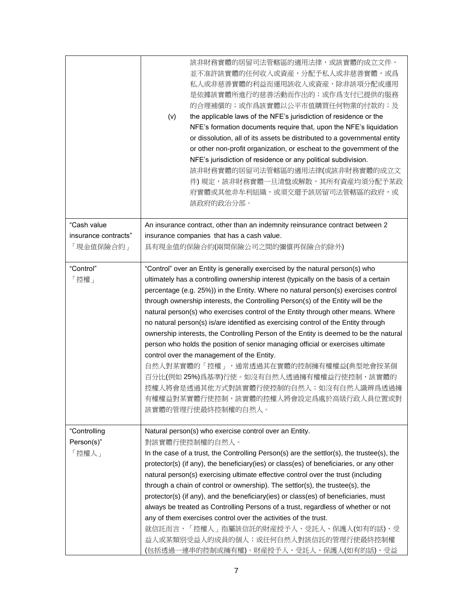|                                     | 該非財務實體的居留司法管轄區的適用法律,或該實體的成立文件,<br>並不准許該實體的任何收入或資産,分配予私人或非慈善實體,或爲<br>私人或非慈善實體的利益而運用該收入或資産,除非該項分配或運用<br>是依據該實體所進行的慈善活動而作出的;或作爲支付已提供的服務<br>的合理補償的;或作爲該實體以公平市值購買任何物業的付款的;及<br>the applicable laws of the NFE's jurisdiction of residence or the<br>(v)<br>NFE's formation documents require that, upon the NFE's liquidation<br>or dissolution, all of its assets be distributed to a governmental entity<br>or other non-profit organization, or escheat to the government of the<br>NFE's jurisdiction of residence or any political subdivision.<br>該非財務實體的居留司法管轄區的適用法律(或該非財務實體的成立文<br>件) 規定,該非財務實體一旦清盤或解散,其所有資産均須分配予某政<br>府實體或其他非牟利組織,或須交還予該居留司法管轄區的政府,或<br>該政府的政治分部。                                                                                                                                                                                                                                                                           |
|-------------------------------------|-------------------------------------------------------------------------------------------------------------------------------------------------------------------------------------------------------------------------------------------------------------------------------------------------------------------------------------------------------------------------------------------------------------------------------------------------------------------------------------------------------------------------------------------------------------------------------------------------------------------------------------------------------------------------------------------------------------------------------------------------------------------------------------------------------------------------------------------------------------------------------------------------------------------------------------------------|
| "Cash value                         | An insurance contract, other than an indemnity reinsurance contract between 2                                                                                                                                                                                                                                                                                                                                                                                                                                                                                                                                                                                                                                                                                                                                                                                                                                                                   |
| insurance contracts"<br>「現金值保險合約」   | insurance companies that has a cash value.<br>具有現金值的保險合約(兩間保險公司之間的彌償再保險合約除外)                                                                                                                                                                                                                                                                                                                                                                                                                                                                                                                                                                                                                                                                                                                                                                                                                                                                    |
| "Control"<br>「控權」                   | "Control" over an Entity is generally exercised by the natural person(s) who<br>ultimately has a controlling ownership interest (typically on the basis of a certain<br>percentage (e.g. 25%)) in the Entity. Where no natural person(s) exercises control<br>through ownership interests, the Controlling Person(s) of the Entity will be the<br>natural person(s) who exercises control of the Entity through other means. Where<br>no natural person(s) is/are identified as exercising control of the Entity through<br>ownership interests, the Controlling Person of the Entity is deemed to be the natural<br>person who holds the position of senior managing official or exercises ultimate<br>control over the management of the Entity.<br>自然人對某實體的「控權」,通常透過其在實體的控制擁有權權益(典型地會按某個<br>百分比(例如 25%)爲基準)行使。如沒有自然人透過擁有權權益行使控制,該實體的<br>控權人將會是透過其他方式對該實體行使控制的自然人;如沒有自然人識辨爲透過擁<br>有權權益對某實體行使控制,該實體的控權人將會設定爲處於高級行政人員位置或對<br>該實體的管理行使最終控制權的自然人。 |
| "Controlling<br>Person(s)"<br>「控權人」 | Natural person(s) who exercise control over an Entity.<br>對該實體行使控制權的自然人。<br>In the case of a trust, the Controlling Person(s) are the settlor(s), the trustee(s), the<br>protector(s) (if any), the beneficiary(ies) or class(es) of beneficiaries, or any other<br>natural person(s) exercising ultimate effective control over the trust (including<br>through a chain of control or ownership). The settlor(s), the trustee(s), the<br>protector(s) (if any), and the beneficiary(ies) or class(es) of beneficiaries, must<br>always be treated as Controlling Persons of a trust, regardless of whether or not<br>any of them exercises control over the activities of the trust.<br>就信託而言,「控權人」指屬該信託的財産授予人、受託人、保護人(如有的話)、受<br>益人或某類別受益人的成員的個人;或任何自然人對該信託的管理行使最終控制權<br>(包括透過一連串的控制或擁有權)。財産授予人、受託人、保護人(如有的話)、受益                                                                                                                              |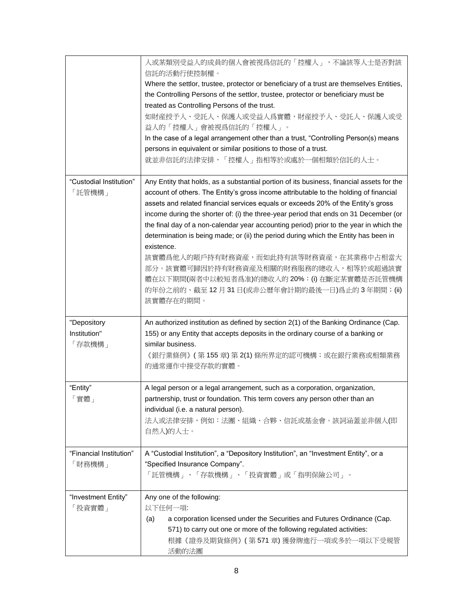|                                   | 人或某類別受益人的成員的個人會被視爲信託的「控權人」,不論該等人士是否對該<br>信託的活動行使控制權。<br>Where the settlor, trustee, protector or beneficiary of a trust are themselves Entities,<br>the Controlling Persons of the settlor, trustee, protector or beneficiary must be<br>treated as Controlling Persons of the trust.<br>如財産授予人、受託人、保護人或受益人爲實體,財産授予人、受託人、保護人或受<br>益人的「控權人」會被視爲信託的「控權人」。<br>In the case of a legal arrangement other than a trust, "Controlling Person(s) means<br>persons in equivalent or similar positions to those of a trust.<br>就並非信託的法律安排,「控權人」指相等於或處於一個相類於信託的人士。                                                                                                                                                                                                    |
|-----------------------------------|------------------------------------------------------------------------------------------------------------------------------------------------------------------------------------------------------------------------------------------------------------------------------------------------------------------------------------------------------------------------------------------------------------------------------------------------------------------------------------------------------------------------------------------------------------------------------------------------------------------------------------------------------------------------------------------------------------------------------------------------------------|
| "Custodial Institution"<br>「託管機構」 | Any Entity that holds, as a substantial portion of its business, financial assets for the<br>account of others. The Entity's gross income attributable to the holding of financial<br>assets and related financial services equals or exceeds 20% of the Entity's gross<br>income during the shorter of: (i) the three-year period that ends on 31 December (or<br>the final day of a non-calendar year accounting period) prior to the year in which the<br>determination is being made; or (ii) the period during which the Entity has been in<br>existence.<br>該實體爲他人的賬戶持有財務資産,而如此持有該等財務資産,在其業務中占相當大<br>部分。該實體可歸因於持有財務資産及相關的財務服務的總收入,相等於或超過該實<br>體在以下期間(兩者中以較短者爲准)的總收入的 20%:(i) 在斷定某實體是否託管機構<br>的年份之前的、截至12月31日(或非公曆年會計期的最後一日)爲止的3年期間;(ii)<br>該實體存在的期間。 |
| "Depository                       | An authorized institution as defined by section 2(1) of the Banking Ordinance (Cap.                                                                                                                                                                                                                                                                                                                                                                                                                                                                                                                                                                                                                                                                        |
| Institution"<br>「存款機構」            | 155) or any Entity that accepts deposits in the ordinary course of a banking or<br>similar business.<br>《銀行業條例》 ( 第 155 章) 第 2(1) 條所界定的認可機構;或在銀行業務或相類業務<br>的通常運作中接受存款的實體。                                                                                                                                                                                                                                                                                                                                                                                                                                                                                                                                                                                  |
| "Entity"<br>「實體」                  | A legal person or a legal arrangement, such as a corporation, organization,<br>partnership, trust or foundation. This term covers any person other than an<br>individual (i.e. a natural person).<br>法人或法律安排,例如:法團、組織、合夥、信託或基金會。該詞涵蓋並非個人(即<br>自然人)的人士。                                                                                                                                                                                                                                                                                                                                                                                                                                                                                                     |
| "Financial Institution"<br>「財務機構」 | A "Custodial Institution", a "Depository Institution", an "Investment Entity", or a<br>"Specified Insurance Company".<br>「託管機構」、「存款機構」、「投資實體」或「指明保險公司」。                                                                                                                                                                                                                                                                                                                                                                                                                                                                                                                                                                                                    |
| "Investment Entity"<br>「投資實體」     | Any one of the following:<br>以下任何一項:<br>a corporation licensed under the Securities and Futures Ordinance (Cap.<br>(a)<br>571) to carry out one or more of the following regulated activities:<br>根據《證券及期貨條例》 (第571章)獲發牌進行一項或多於一項以下受規管<br>活動的法團                                                                                                                                                                                                                                                                                                                                                                                                                                                                                                            |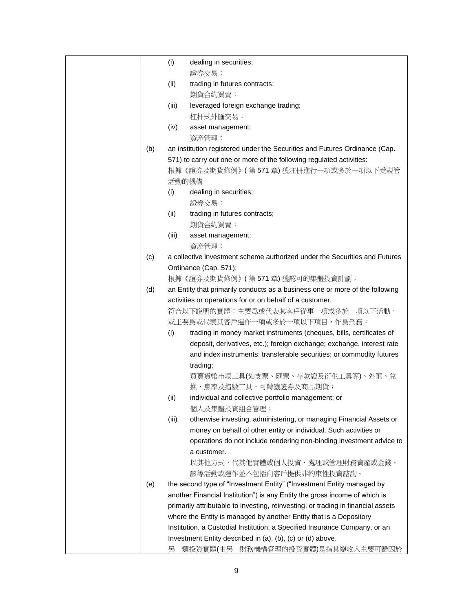|     | (i)   | dealing in securities;                                                           |
|-----|-------|----------------------------------------------------------------------------------|
|     |       | 證券交易;                                                                            |
|     | (ii)  | trading in futures contracts;                                                    |
|     |       | 期貨合約買賣;                                                                          |
|     | (iii) | leveraged foreign exchange trading;                                              |
|     |       | 杠杆式外匯交易;                                                                         |
|     | (iv)  | asset management;                                                                |
|     |       | 資産管理;                                                                            |
| (b) |       | an institution registered under the Securities and Futures Ordinance (Cap.       |
|     |       | 571) to carry out one or more of the following regulated activities:             |
|     |       | 根據《證券及期貨條例》 (第571章)獲注冊進行一項或多於一項以下受規管                                             |
|     |       | 活動的機構                                                                            |
|     | (i)   | dealing in securities;                                                           |
|     |       | 證券交易;                                                                            |
|     | (ii)  | trading in futures contracts;                                                    |
|     |       | 期貨合約買賣;                                                                          |
|     | (iii) | asset management;                                                                |
|     |       | 資産管理;                                                                            |
| (c) |       | a collective investment scheme authorized under the Securities and Futures       |
|     |       | Ordinance (Cap. 571);                                                            |
|     |       | 根據《證券及期貨條例》(第571章)獲認可的集體投資計劃;                                                    |
| (d) |       | an Entity that primarily conducts as a business one or more of the following     |
|     |       | activities or operations for or on behalf of a customer:                         |
|     |       | 符合以下說明的實體:主要爲或代表其客戶從事一項或多於一項以下活動,                                                |
|     |       | 或主要爲或代表其客戶運作一項或多於一項以下項目,作爲業務:                                                    |
|     | (i)   | trading in money market instruments (cheques, bills, certificates of             |
|     |       | deposit, derivatives, etc.); foreign exchange; exchange, interest rate           |
|     |       | and index instruments; transferable securities; or commodity futures             |
|     |       | trading;                                                                         |
|     |       | 買賣貨幣市場工具(如支票、匯票、存款證及衍生工具等)、外匯、兌                                                  |
|     |       | 換、息率及指數工具、可轉讓證券及商品期貨;                                                            |
|     | (ii)  | individual and collective portfolio management; or                               |
|     |       | 個人及集體投資組合管理;                                                                     |
|     | (iii) | otherwise investing, administering, or managing Financial Assets or              |
|     |       | money on behalf of other entity or individual. Such activities or                |
|     |       | operations do not include rendering non-binding investment advice to             |
|     |       | a customer.                                                                      |
|     |       | 以其他方式,代其他實體或個人投資、處理或管理財務資産或金錢。                                                   |
|     |       | 該等活動或運作並不包括向客戶提供非約束性投資諮詢。                                                        |
| (e) |       | the second type of "Investment Entity" ("Investment Entity managed by            |
|     |       | another Financial Institution") is any Entity the gross income of which is       |
|     |       | primarily attributable to investing, reinvesting, or trading in financial assets |
|     |       | where the Entity is managed by another Entity that is a Depository               |
|     |       | Institution, a Custodial Institution, a Specified Insurance Company, or an       |
|     |       | Investment Entity described in (a), (b), (c) or (d) above.                       |
|     |       | 另一類投資實體(由另一財務機構管理的投資實體)是指其總收入主要可歸因於                                              |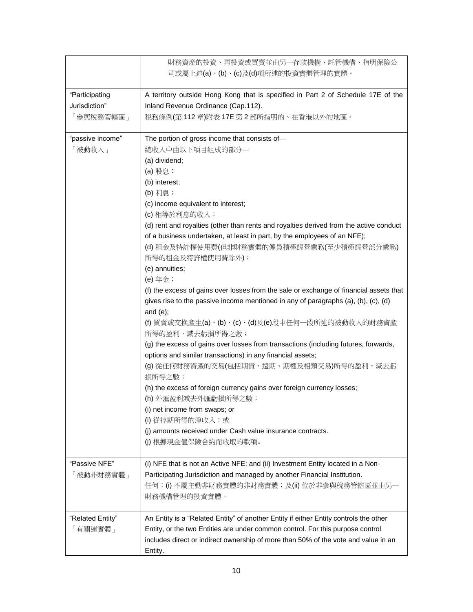|                  | 財務資産的投資、再投資或買賣並由另一存款機構、託管機構、指明保險公<br>司或屬上述(a)、(b)、(c)及(d)項所述的投資實體管理的實體。                       |
|------------------|-----------------------------------------------------------------------------------------------|
| "Participating   | A territory outside Hong Kong that is specified in Part 2 of Schedule 17E of the              |
| Jurisdiction"    | Inland Revenue Ordinance (Cap.112).                                                           |
| 「參與稅務管轄區」        | 税務條例(第112章)附表 17E 第2部所指明的、在香港以外的地區。                                                           |
| "passive income" | The portion of gross income that consists of-                                                 |
| 「被動收入」           | 總收入中由以下項目組成的部分–                                                                               |
|                  | (a) dividend;                                                                                 |
|                  | (a) 股息;                                                                                       |
|                  | (b) interest;                                                                                 |
|                  | (b) 利息;                                                                                       |
|                  | (c) income equivalent to interest;                                                            |
|                  | (c) 相等於利息的收入;                                                                                 |
|                  | (d) rent and royalties (other than rents and royalties derived from the active conduct        |
|                  | of a business undertaken, at least in part, by the employees of an NFE);                      |
|                  | (d) 租金及特許權使用費(但非財務實體的僱員積極經營業務(至少積極經營部分業務)                                                     |
|                  | 所得的租金及特許權使用費除外);                                                                              |
|                  | (e) annuities;                                                                                |
|                  | (e) 年金;                                                                                       |
|                  | (f) the excess of gains over losses from the sale or exchange of financial assets that        |
|                  | gives rise to the passive income mentioned in any of paragraphs (a), (b), (c), (d)            |
|                  | and $(e)$ ;                                                                                   |
|                  | (f) 買賣或交換產生(a)、(b)、(c)、(d)及(e)段中任何一段所述的被動收入的財務資產<br>所得的盈利,減去虧損所得之數;                           |
|                  | (g) the excess of gains over losses from transactions (including futures, forwards,           |
|                  | options and similar transactions) in any financial assets;                                    |
|                  | (g) 從任何財務資產的交易(包括期貨、遠期、期權及相類交易)所得的盈利,減去虧<br>損所得之數;                                            |
|                  | (h) the excess of foreign currency gains over foreign currency losses;<br>(h) 外匯盈利減去外匯虧損所得之數; |
|                  | (i) net income from swaps; or                                                                 |
|                  | (i) 從掉期所得的淨收入;或                                                                               |
|                  | (j) amounts received under Cash value insurance contracts.                                    |
|                  | (j) 根據現金值保險合約而收取的款項。                                                                          |
| "Passive NFE"    | (i) NFE that is not an Active NFE; and (ii) Investment Entity located in a Non-               |
| 「被動非財務實體」        | Participating Jurisdiction and managed by another Financial Institution.                      |
|                  | 任何:(i) 不屬主動非財務實體的非財務實體;及(ii) 位於非參與稅務管轄區並由另一<br>財務機構管理的投資實體。                                   |
| "Related Entity" | An Entity is a "Related Entity" of another Entity if either Entity controls the other         |
| 「有關連實體」          | Entity, or the two Entities are under common control. For this purpose control                |
|                  | includes direct or indirect ownership of more than 50% of the vote and value in an<br>Entity. |
|                  |                                                                                               |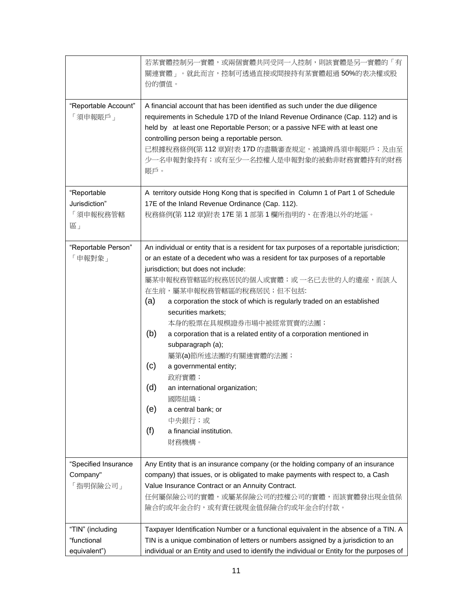|                                                 | 若某實體控制另一實體,或兩個實體共同受同一人控制,則該實體是另一實體的「有<br>關連實體」。就此而言,控制可透過直接或間接持有某實體超過 50%的表决權或股<br>份的價值。                                                                                                                                                                                                                                                                                                                                                                                                                                                                                                                                                                                                                                              |
|-------------------------------------------------|---------------------------------------------------------------------------------------------------------------------------------------------------------------------------------------------------------------------------------------------------------------------------------------------------------------------------------------------------------------------------------------------------------------------------------------------------------------------------------------------------------------------------------------------------------------------------------------------------------------------------------------------------------------------------------------------------------------------------------------|
| "Reportable Account"<br>「須申報賬戶」                 | A financial account that has been identified as such under the due diligence<br>requirements in Schedule 17D of the Inland Revenue Ordinance (Cap. 112) and is<br>held by at least one Reportable Person; or a passive NFE with at least one<br>controlling person being a reportable person.<br>已根據稅務條例(第112章)附表 17D 的盡職審查規定,被識辨爲須申報賬戶;及由至<br>少一名申報對象持有;或有至少一名控權人是申報對象的被動非財務實體持有的財務<br>賬戶。                                                                                                                                                                                                                                                                                                                                           |
| "Reportable<br>Jurisdiction"<br>「須申報稅務管轄<br>區」  | A territory outside Hong Kong that is specified in Column 1 of Part 1 of Schedule<br>17E of the Inland Revenue Ordinance (Cap. 112).<br>稅務條例(第112章)附表17E 第1部第1欄所指明的、在香港以外的地區。                                                                                                                                                                                                                                                                                                                                                                                                                                                                                                                                                         |
| "Reportable Person"<br>「申報對象」                   | An individual or entity that is a resident for tax purposes of a reportable jurisdiction;<br>or an estate of a decedent who was a resident for tax purposes of a reportable<br>jurisdiction; but does not include:<br>屬某申報稅務管轄區的稅務居民的個人或實體;或 一名已去世的人的遺産,而該人<br>在生前,屬某申報稅務管轄區的稅務居民;但不包括:<br>(a)<br>a corporation the stock of which is regularly traded on an established<br>securities markets;<br>本身的股票在具規模證券市場中被經常買賣的法團;<br>(b)<br>a corporation that is a related entity of a corporation mentioned in<br>subparagraph (a);<br>屬第(a)節所述法團的有關連實體的法團;<br>(c)<br>a governmental entity;<br>政府實體;<br>(d)<br>an international organization;<br>國際組織;<br>(e)<br>a central bank; or<br>中央銀行;或<br>(f)<br>a financial institution.<br>財務機構。 |
| "Specified Insurance<br>Company"<br>「指明保險公司」    | Any Entity that is an insurance company (or the holding company of an insurance<br>company) that issues, or is obligated to make payments with respect to, a Cash<br>Value Insurance Contract or an Annuity Contract.<br>任何屬保險公司的實體,或屬某保險公司的控權公司的實體,而該實體發出現金值保<br>險合約或年金合約,或有責任就現金值保險合約或年金合約付款。                                                                                                                                                                                                                                                                                                                                                                                                                                       |
| "TIN" (including<br>"functional<br>equivalent") | Taxpayer Identification Number or a functional equivalent in the absence of a TIN. A<br>TIN is a unique combination of letters or numbers assigned by a jurisdiction to an<br>individual or an Entity and used to identify the individual or Entity for the purposes of                                                                                                                                                                                                                                                                                                                                                                                                                                                               |